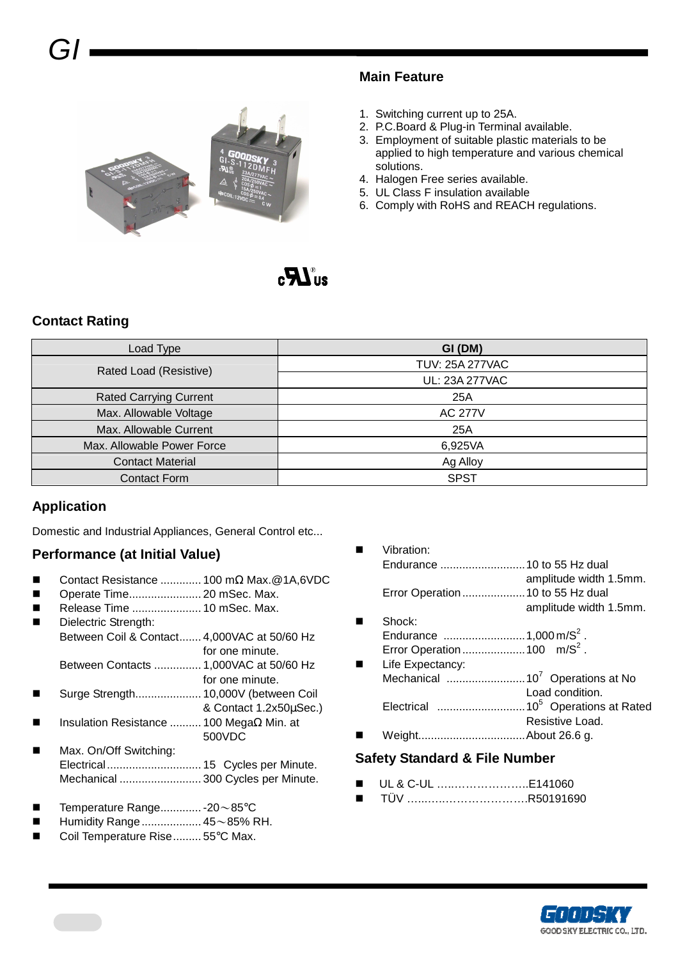

#### **Main Feature**

- 1. Switching current up to 25A.
- 2. P.C.Board & Plug-in Terminal available.
- 3. Employment of suitable plastic materials to be applied to high temperature and various chemical solutions.
- 4. Halogen Free series available.
- 5. UL Class F insulation available
- 6. Comply with RoHS and REACH regulations.

# $_{\bullet}$  ,  $\boldsymbol{\varphi}$  /  $_{\circ}$

#### **Contact Rating**

| Load Type                     | GI (DM)                |
|-------------------------------|------------------------|
| Rated Load (Resistive)        | <b>TUV: 25A 277VAC</b> |
|                               | UL: 23A 277VAC         |
| <b>Rated Carrying Current</b> | 25A                    |
| Max. Allowable Voltage        | <b>AC 277V</b>         |
| Max. Allowable Current        | 25A                    |
| Max. Allowable Power Force    | 6,925VA                |
| <b>Contact Material</b>       | Ag Alloy               |
| <b>Contact Form</b>           | <b>SPST</b>            |

#### **Application**

Domestic and Industrial Appliances, General Control etc...

#### **Performance (at Initial Value)**

- Contact Resistance ............. 100 mΩ Max.@1A,6VDC
- Operate Time....................... 20 mSec. Max.
- Release Time ...................... 10 mSec. Max.
- Dielectric Strength: Between Coil & Contact....... 4,000VAC at 50/60 Hz for one minute. Between Contacts ............... 1,000VAC at 50/60 Hz
- for one minute. Surge Strength..................... 10,000V (between Coil
- & Contact 1.2x50µSec.)
- Insulation Resistance .......... 100 MegaΩ Min. at 500VDC
- Max. On/Off Switching: Electrical.............................. 15 Cycles per Minute. Mechanical .......................... 300 Cycles per Minute.
- Temperature Range............. 20~85°C
- Humidity Range................... 45~85% RH.
- Coil Temperature Rise......... 55°C Max.

|   | Vibration: |                        |
|---|------------|------------------------|
|   |            |                        |
|   |            | amplitude width 1.5mm. |
|   |            |                        |
|   |            | amplitude width 1.5mm. |
| п | Shock:     |                        |

- Endurance ..........................1,000 m/S<sup>2</sup> . Error Operation ...........................100 m/ $S^2$ .
- **Life Expectancy:** Mechanical .........................10<sup>7</sup>Operations at No Load condition. Electrical ............................10<sup>5</sup>Operations at Rated Resistive Load. Weight..................................About 26.6 g.

#### **Safety Standard & File Number**

- UL & C-UL …..………………..E141060
- TÜV …...…..………………….R50191690